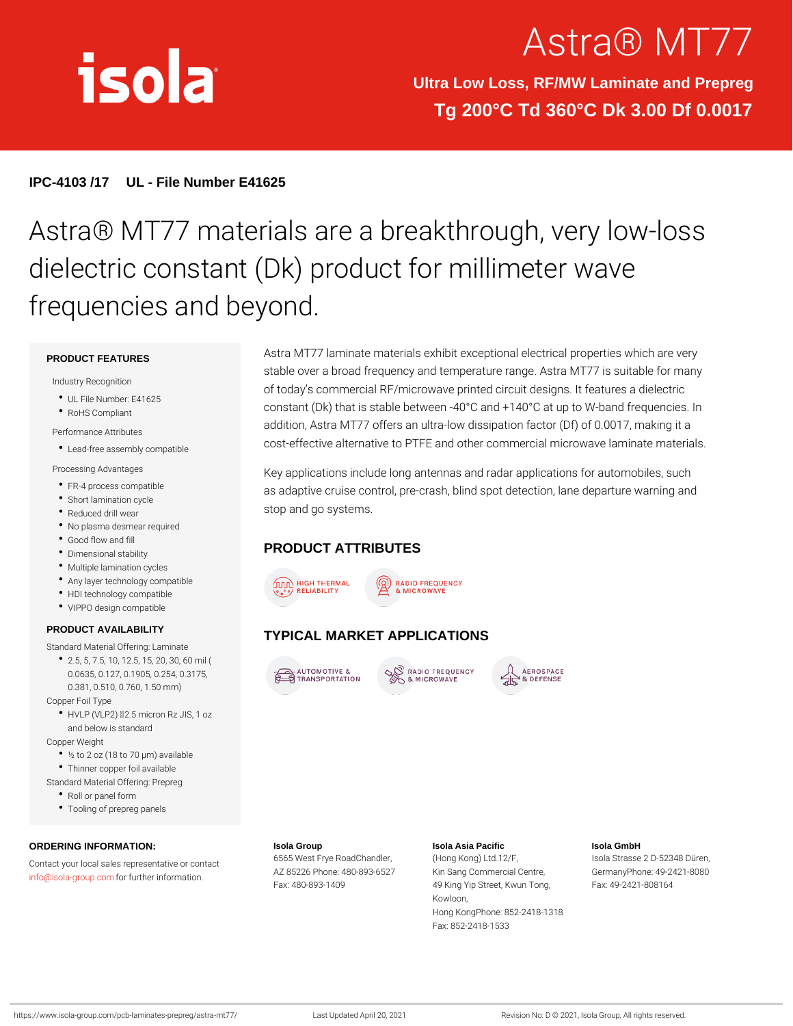# Astra® MT

Ultra Low Loss, RF/MW Laminate and Prepreg Tg 200°C Td 360°C Dk 3.00 Df 0.0017

IPC-4103 /17 UL - File Number E41625

## Astra® MT77 materials are a breakthrough dielectric constant (Dk) product for mil frequencies and beyond.

#### PRODUCT FEATURES

Industry Recognition

- UL File Number: E41625
- RoHS Compliant
- Performance Attributes
- Lead-free assembly compatible COSt-effective alternative to PTFE and other commercial microw
- Processing Advantages
- FR-4 process compatible
- Short lamination cycle
- Reduced drill wear
- No plasma desmear required
- Good flow and fill
- Dimensional stability
- Multiple lamination cycles
- Any layer technology compatible
- HDI technology compatible
- VIPPO design compatible

#### PRODUCT AVAILABILITY

#### Standard Material Offering: Laminate

- 2.5, 5, 7.5, 10, 12.5, 15, 20, 30, 60 mil ( 0.0635, 0.127, 0.1905, 0.254, 0.3175,
- 0.381, 0.510, 0.760, 1.50 mm)
- Copper Foil Type
- HVLP (VLP2) "d2.5 micron Rz JIS, 1 oz and below is standard
- Copper Weight
	- ½ to 2 oz (18 to 70 µm) available
- Thinner copper foil available
- Standard Material Offering: Prepreg
	- Roll or panel form
	- Tooling of prepreg panels

ORDERING INFORMATION: Contact your local sales representative or contact Frye RoadChandleng Kong) Ltd.12/F, Isola Strasse 2 D-52348 Düren, [info@isola-gr](mailto:info@isola-group.com)ofup.com ther information. AZ 85226 Phone: 480-893K662Syang Commercial CenGreer, manyPhone: 49-2421-8080 Isola Group Fax: 480-893-1409 Isola Asia Pacific 49 King Yip Street, Kwun FTaoxn:g 49-2421-808164 Kowloon, Hong KongPhone: 852-2418-1318 Fax: 852-2418-1533 Isola GmbH

Key applications include long antennas and radar applications as adaptive cruise control, pre-crash, blind spot detection, lan stop and go systems.

Astra MT77 laminate materials exhibit exceptional electrical pro stable over a broad frequency and temperature range. Astra MT of today s commercial RF/microwave printed circuit designs. It constant (Dk) that is stable between  $-40\degree$ C and  $+140\degree$ C at up to addition, Astra MT77 offers an ultra-low dissipation factor (Df)

#### PRODUCT ATTRIBUTES

### TYPICAL MARKET APPLICATIONS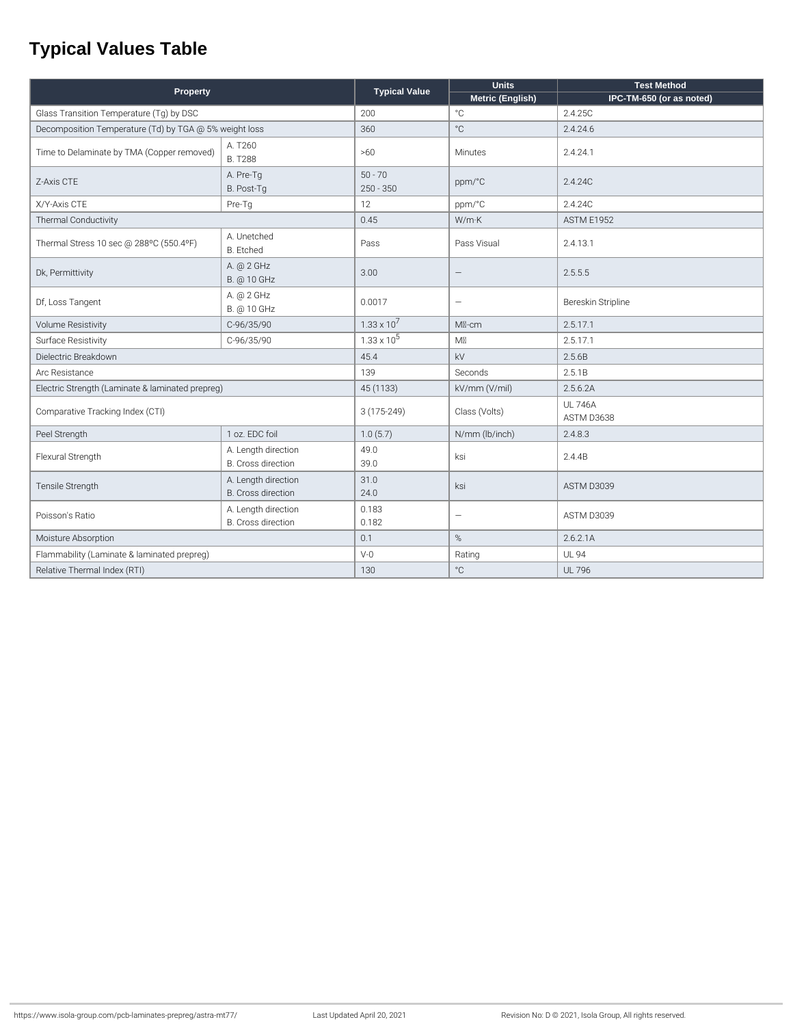## **Typical Values Table**

| Property                                               |                                                  | <b>Typical Value</b>     | <b>Units</b>             | <b>Test Method</b>           |
|--------------------------------------------------------|--------------------------------------------------|--------------------------|--------------------------|------------------------------|
|                                                        |                                                  |                          | Metric (English)         | IPC-TM-650 (or as noted)     |
| Glass Transition Temperature (Tg) by DSC               |                                                  | 200                      | $^{\circ}$ C             | 2.4.25C                      |
| Decomposition Temperature (Td) by TGA @ 5% weight loss |                                                  | 360                      | $^{\circ}$ C             | 2.4.24.6                     |
| Time to Delaminate by TMA (Copper removed)             | A. T260<br><b>B. T288</b>                        | >60                      | Minutes                  | 2.4.24.1                     |
| Z-Axis CTE                                             | A. Pre-Tg<br>B. Post-Tg                          | $50 - 70$<br>$250 - 350$ | ppm/°C                   | 2.4.24C                      |
| X/Y-Axis CTE                                           | Pre-Tg                                           | 12                       | ppm/°C                   | 2.4.24C                      |
| <b>Thermal Conductivity</b>                            |                                                  | 0.45                     | W/mK                     | <b>ASTM E1952</b>            |
| Thermal Stress 10 sec @ 288°C (550.4°F)                | A. Unetched<br><b>B.</b> Etched                  | Pass                     | Pass Visual              | 2.4.13.1                     |
| Dk, Permittivity                                       | A. @ 2 GHz<br>B. @ 10 GHz                        | 3.00                     | $\overline{\phantom{m}}$ | 2.5.5.5                      |
| Df, Loss Tangent                                       | A. @ 2 GHz<br>B. @ 10 GHz                        | 0.0017                   | $\qquad \qquad -$        | Bereskin Stripline           |
| Volume Resistivity                                     | C-96/35/90                                       | $1.33 \times 10^{7}$     | M <sub>N</sub> -cm       | 2.5.17.1                     |
| Surface Resistivity                                    | C-96/35/90                                       | $1.33 \times 10^5$       | M                        | 2.5.17.1                     |
| Dielectric Breakdown                                   |                                                  | 45.4                     | kV                       | 2.5.6B                       |
| Arc Resistance                                         |                                                  | 139                      | Seconds                  | 2.5.1B                       |
| Electric Strength (Laminate & laminated prepreg)       |                                                  | 45 (1133)                | kV/mm (V/mil)            | 2.5.6.2A                     |
| Comparative Tracking Index (CTI)                       |                                                  | 3 (175-249)              | Class (Volts)            | <b>UL 746A</b><br>ASTM D3638 |
| Peel Strength                                          | 1 oz. EDC foil                                   | 1.0(5.7)                 | N/mm (lb/inch)           | 2.4.8.3                      |
| Flexural Strength                                      | A. Length direction<br><b>B.</b> Cross direction | 49.0<br>39.0             | ksi                      | 2.4.4B                       |
| Tensile Strength                                       | A. Length direction<br><b>B.</b> Cross direction | 31.0<br>24.0             | ksi                      | ASTM D3039                   |
| Poisson's Ratio                                        | A. Length direction<br><b>B.</b> Cross direction | 0.183<br>0.182           | $\qquad \qquad -$        | ASTM D3039                   |
| Moisture Absorption                                    |                                                  | 0.1                      | %                        | 2.6.2.1A                     |
| Flammability (Laminate & laminated prepreg)            |                                                  | $V-0$                    | Rating                   | <b>UL 94</b>                 |
| Relative Thermal Index (RTI)                           |                                                  | 130                      | $^{\circ}$ C             | <b>UL 796</b>                |